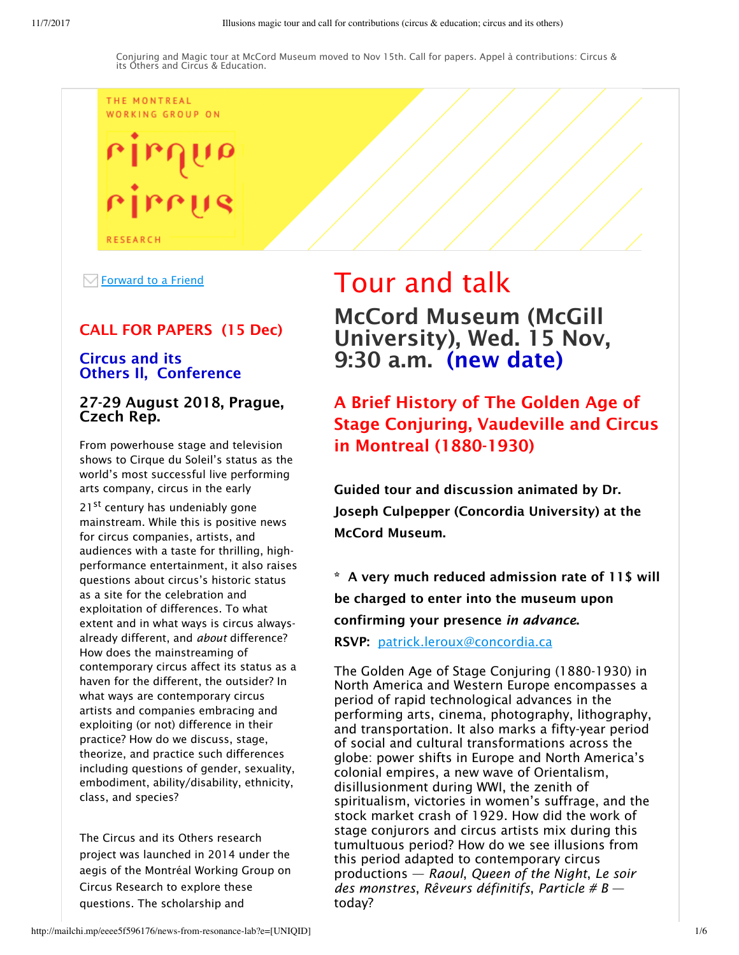# THE MONTREAL WORKING GROUP ON

**RESEARCH** 

 $\sqrt{\phantom{a}}$  Forward to a Friend

### CALL FOR PAPERS (15 Dec)

#### Circus and its Others Il, Conference

#### 27-29 August 2018, Prague, Czech Rep.

From powerhouse stage and television shows to Cirque du Soleil's status as the world's most successful live performing arts company, circus in the early

21<sup>st</sup> century has undeniably gone mainstream. While this is positive news for circus companies, artists, and audiences with a taste for thrilling, highperformance entertainment, it also raises questions about circus's historic status as a site for the celebration and exploitation of differences. To what extent and in what ways is circus alwaysalready different, and *about* difference? How does the mainstreaming of contemporary circus affect its status as a haven for the different, the outsider? In what ways are contemporary circus artists and companies embracing and exploiting (or not) difference in their practice? How do we discuss, stage, theorize, and practice such differences including questions of gender, sexuality, embodiment, ability/disability, ethnicity, class, and species?

The Circus and its Others research project was launched in 2014 under the aegis of the Montréal Working Group on Circus Research to explore these questions. The scholarship and

# Tour and talk McCord Museum (McGill University), Wed. 15 Nov, 9:30 a.m. (new date)

# A Brief History of The Golden Age of Stage Conjuring, Vaudeville and Circus in Montreal (1880-1930)

Guided tour and discussion animated by Dr. Joseph Culpepper (Concordia University) at the McCord Museum.

\* A very much reduced admission rate of 11\$ will be charged to enter into the museum upon confirming your presence *in advance*. RSVP: patrick.leroux@concordia.ca

The Golden Age of Stage Conjuring (1880-1930) in North America and Western Europe encompasses a period of rapid technological advances in the performing arts, cinema, photography, lithography, and transportation. It also marks a fifty-year period of social and cultural transformations across the globe: power shifts in Europe and North America's colonial empires, a new wave of Orientalism, disillusionment during WWI, the zenith of spiritualism, victories in women's suffrage, and the stock market crash of 1929. How did the work of stage conjurors and circus artists mix during this tumultuous period? How do we see illusions from this period adapted to contemporary circus productions — *Raoul*, *Queen of the Night*, *Le soir des monstres*, *Rêveurs définitifs*, *Particle # B* today?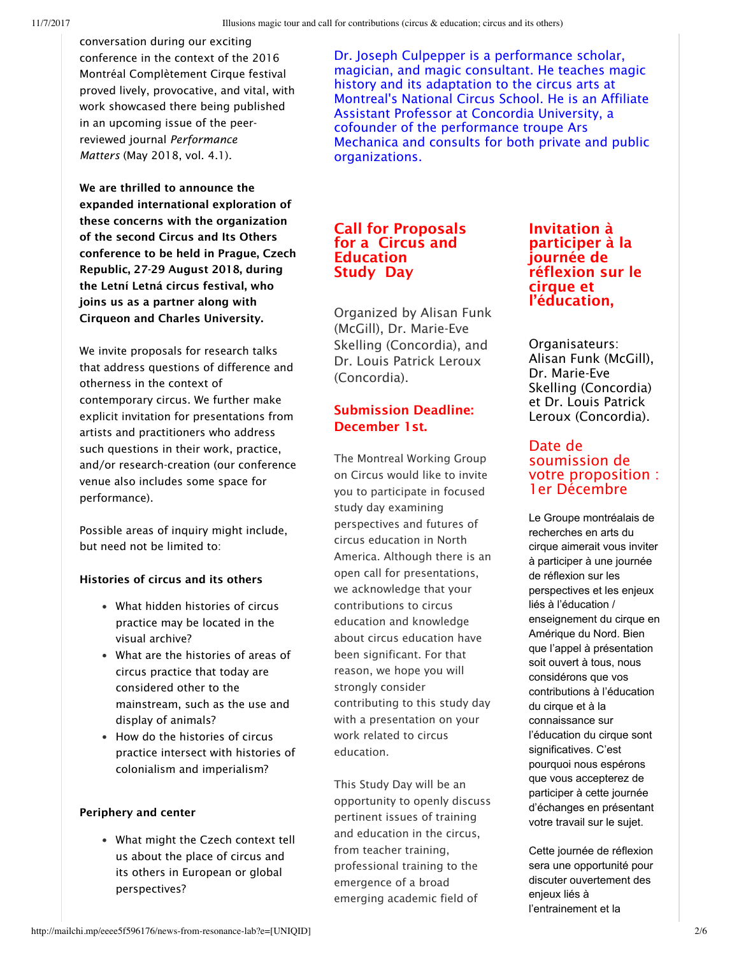conversation during our exciting conference in the context of the 2016 Montréal Complètement Cirque festival proved lively, provocative, and vital, with work showcased there being published in an upcoming issue of the peerreviewed journal *Performance Matters* (May 2018, vol. 4.1).

We are thrilled to announce the expanded international exploration of these concerns with the organization of the second Circus and Its Others conference to be held in Prague, Czech Republic, 27-29 August 2018, during the Letní Letná circus festival, who joins us as a partner along with Cirqueon and Charles University.

We invite proposals for research talks that address questions of difference and otherness in the context of contemporary circus. We further make explicit invitation for presentations from artists and practitioners who address such questions in their work, practice, and/or research-creation (our conference venue also includes some space for performance).

Possible areas of inquiry might include, but need not be limited to:

#### Histories of circus and its others

- What hidden histories of circus practice may be located in the visual archive?
- What are the histories of areas of circus practice that today are considered other to the mainstream, such as the use and display of animals?
- How do the histories of circus practice intersect with histories of colonialism and imperialism?

#### Periphery and center

What might the Czech context tell us about the place of circus and its others in European or global perspectives?

Dr. Joseph Culpepper is a performance scholar, magician, and magic consultant. He teaches magic history and its adaptation to the circus arts at Montreal's National Circus School. He is an Affiliate Assistant Professor at Concordia University, a cofounder of the performance troupe Ars Mechanica and consults for both private and public organizations.

#### Call for Proposals for a Circus and **Education** Study Day

Organized by Alisan Funk (McGill), Dr. Marie-Eve Skelling (Concordia), and Dr. Louis Patrick Leroux (Concordia).

#### Submission Deadline: December 1st.

The Montreal Working Group on Circus would like to invite you to participate in focused study day examining perspectives and futures of circus education in North America. Although there is an open call for presentations, we acknowledge that your contributions to circus education and knowledge about circus education have been significant. For that reason, we hope you will strongly consider contributing to this study day with a presentation on your work related to circus education.

This Study Day will be an opportunity to openly discuss pertinent issues of training and education in the circus, from teacher training, professional training to the emergence of a broad emerging academic field of

#### Invitation à participer à la journée de réflexion sur le cirque et l'éducation,

Organisateurs: Alisan Funk (McGill), Dr. Marie-Eve Skelling (Concordia) et Dr. Louis Patrick Leroux (Concordia).

#### Date de soumission de votre proposition : 1er Décembre

Le Groupe montréalais de recherches en arts du cirque aimerait vous inviter à participer à une journée de réflexion sur les perspectives et les enjeux liés à l'éducation / enseignement du cirque en Amérique du Nord. Bien que l'appel à présentation soit ouvert à tous, nous considérons que vos contributions à l'éducation du cirque et à la connaissance sur l'éducation du cirque sont significatives. C'est pourquoi nous espérons que vous accepterez de participer à cette journée d'échanges en présentant votre travail sur le sujet.

Cette journée de réflexion sera une opportunité pour discuter ouvertement des enjeux liés à l'entrainement et la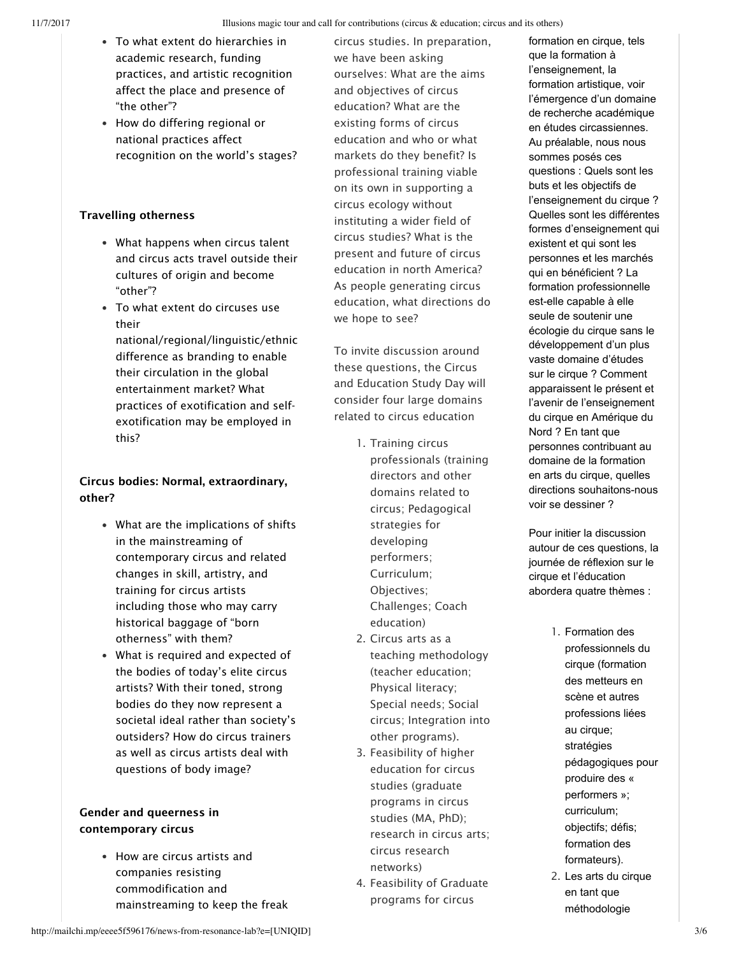- To what extent do hierarchies in academic research, funding practices, and artistic recognition affect the place and presence of "the other"?
- How do differing regional or national practices affect recognition on the world's stages?

#### Travelling otherness

- What happens when circus talent and circus acts travel outside their cultures of origin and become "other"?
- To what extent do circuses use their

national/regional/linguistic/ethnic difference as branding to enable their circulation in the global entertainment market? What practices of exotification and selfexotification may be employed in this?

#### Circus bodies: Normal, extraordinary, other?

- What are the implications of shifts in the mainstreaming of contemporary circus and related changes in skill, artistry, and training for circus artists including those who may carry historical baggage of "born otherness" with them?
- What is required and expected of the bodies of today's elite circus artists? With their toned, strong bodies do they now represent a societal ideal rather than society's outsiders? How do circus trainers as well as circus artists deal with questions of body image?

#### Gender and queerness in contemporary circus

How are circus artists and companies resisting commodification and mainstreaming to keep the freak

circus studies. In preparation, we have been asking ourselves: What are the aims and objectives of circus education? What are the existing forms of circus education and who or what markets do they benefit? Is professional training viable on its own in supporting a circus ecology without instituting a wider field of circus studies? What is the present and future of circus education in north America? As people generating circus education, what directions do we hope to see?

To invite discussion around these questions, the Circus and Education Study Day will consider four large domains related to circus education

- 1. Training circus professionals (training directors and other domains related to circus; Pedagogical strategies for developing performers; Curriculum; Objectives; Challenges; Coach education)
- 2. Circus arts as a teaching methodology (teacher education; Physical literacy; Special needs; Social circus; Integration into other programs).
- 3. Feasibility of higher education for circus studies (graduate programs in circus studies (MA, PhD); research in circus arts; circus research networks)
- 4. Feasibility of Graduate programs for circus

formation en cirque, tels que la formation à l'enseignement, la formation artistique, voir l'émergence d'un domaine de recherche académique en études circassiennes. Au préalable, nous nous sommes posés ces questions : Quels sont les buts et les objectifs de l'enseignement du cirque ? Quelles sont les différentes formes d'enseignement qui existent et qui sont les personnes et les marchés qui en bénéficient ? La formation professionnelle est-elle capable à elle seule de soutenir une écologie du cirque sans le développement d'un plus vaste domaine d'études sur le cirque ? Comment apparaissent le présent et l'avenir de l'enseignement du cirque en Amérique du Nord ? En tant que personnes contribuant au domaine de la formation en arts du cirque, quelles directions souhaitons-nous voir se dessiner ?

Pour initier la discussion autour de ces questions, la journée de réflexion sur le cirque et l'éducation abordera quatre thèmes :

- 1. Formation des professionnels du cirque (formation des metteurs en scène et autres professions liées au cirque; stratégies pédagogiques pour produire des « performers »; curriculum; objectifs; défis; formation des formateurs).
- 2. Les arts du cirque en tant que méthodologie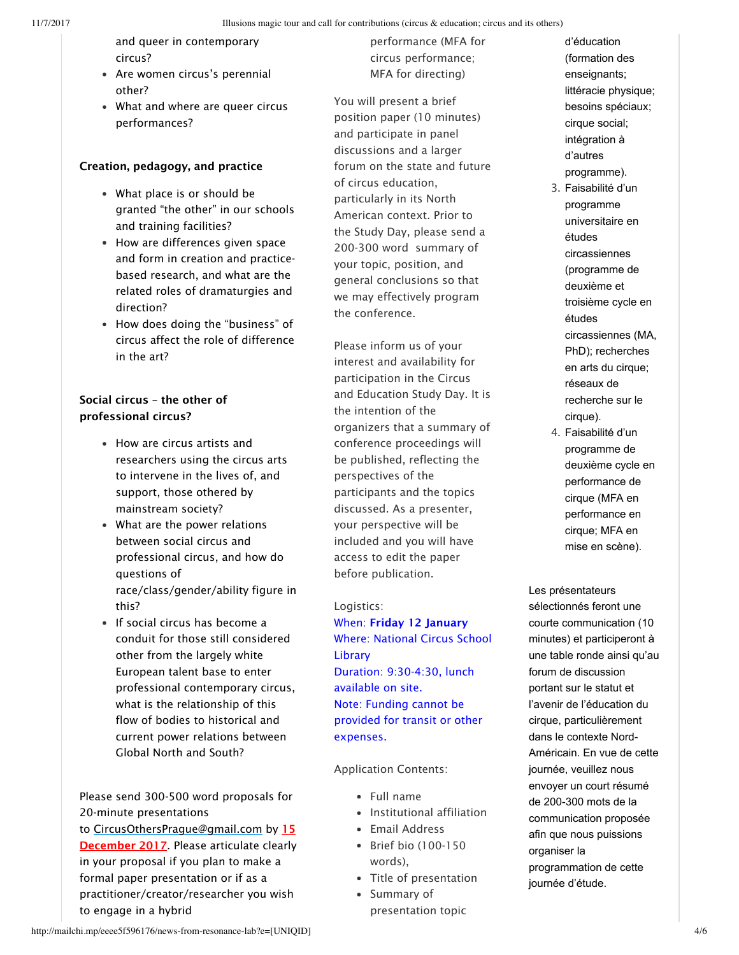- and queer in contemporary circus?
- Are women circus's perennial other?
- What and where are queer circus performances?

#### Creation, pedagogy, and practice

- What place is or should be granted "the other" in our schools and training facilities?
- How are differences given space and form in creation and practicebased research, and what are the related roles of dramaturgies and direction?
- How does doing the "business" of circus affect the role of difference in the art?

#### Social circus – the other of professional circus?

- How are circus artists and researchers using the circus arts to intervene in the lives of, and support, those othered by mainstream society?
- What are the power relations between social circus and professional circus, and how do questions of race/class/gender/ability figure in this?
- If social circus has become a conduit for those still considered other from the largely white European talent base to enter professional contemporary circus, what is the relationship of this flow of bodies to historical and current power relations between Global North and South?

Please send 300-500 word proposals for 20-minute presentations to CircusOthersPrague@gmail.com by 15 December 2017. Please articulate clearly in your proposal if you plan to make a formal paper presentation or if as a practitioner/creator/researcher you wish to engage in a hybrid

performance (MFA for circus performance; MFA for directing)

You will present a brief position paper (10 minutes) and participate in panel discussions and a larger forum on the state and future of circus education, particularly in its North American context. Prior to the Study Day, please send a 200-300 word summary of your topic, position, and general conclusions so that we may effectively program the conference.

Please inform us of your interest and availability for participation in the Circus and Education Study Day. It is the intention of the organizers that a summary of conference proceedings will be published, reflecting the perspectives of the participants and the topics discussed. As a presenter, your perspective will be included and you will have access to edit the paper before publication.

#### Logistics:

When: Friday 12 January Where: National Circus School **Library** Duration: 9:30-4:30, lunch available on site. Note: Funding cannot be provided for transit or other expenses.

Application Contents:

- Full name
- Institutional affiliation
- Email Address
- Brief bio (100-150 words),
- Title of presentation
- Summary of presentation topic
- d'éducation (formation des enseignants; littéracie physique; besoins spéciaux; cirque social; intégration à d'autres programme).
- 3. Faisabilité d'un programme universitaire en études circassiennes (programme de deuxième et troisième cycle en études circassiennes (MA, PhD); recherches en arts du cirque; réseaux de recherche sur le cirque).
- 4. Faisabilité d'un programme de deuxième cycle en performance de cirque (MFA en performance en cirque; MFA en mise en scène).

Les présentateurs sélectionnés feront une courte communication (10 minutes) et participeront à une table ronde ainsi qu'au forum de discussion portant sur le statut et l'avenir de l'éducation du cirque, particulièrement dans le contexte Nord-Américain. En vue de cette journée, veuillez nous envoyer un court résumé de 200-300 mots de la communication proposée afin que nous puissions organiser la programmation de cette journée d'étude.